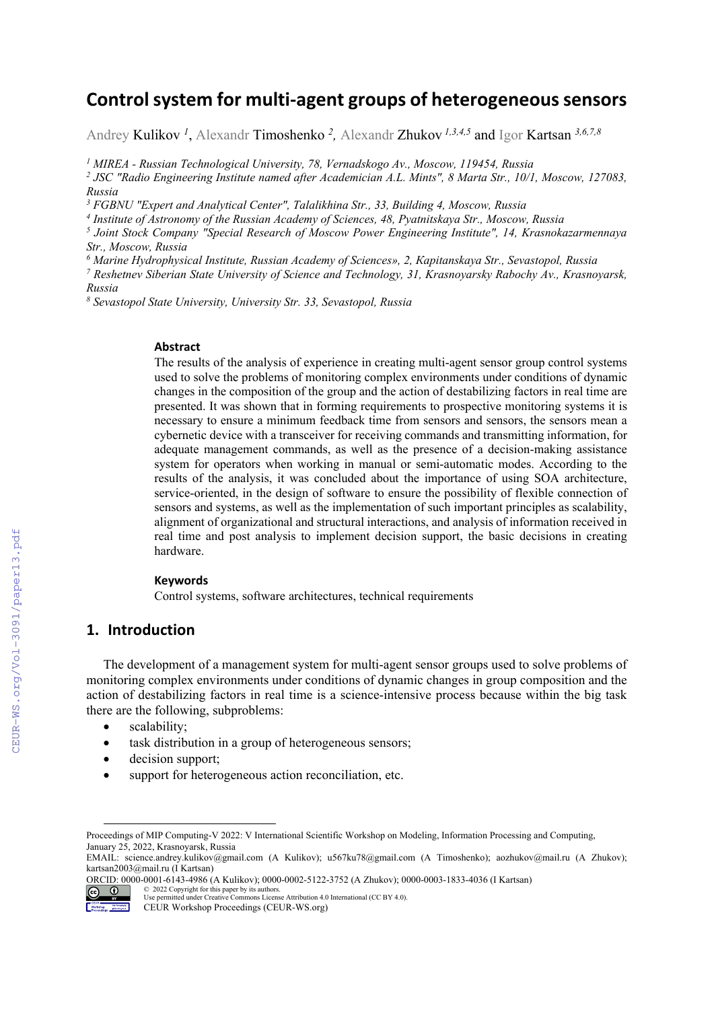# **Controlsystem for multi‐agent groups of heterogeneoussensors**

Andrey Kulikov *<sup>1</sup>* , Alexandr Timoshenko *<sup>2</sup> ,* Alexandr Zhukov *1,3,4,5* and Igor Kartsan *3,6,7,8*

<sup>1</sup> MIREA - Russian Technological University, 78, Vernadskogo Av., Moscow, 119454, Russia<br><sup>2</sup> ISC "Radio Engineering Institute named after Academician A.L. Mints", 8 Marta Str., 10/1

 *JSC "Radio Engineering Institute named after Academician A.L. Mints", 8 Marta Str., 10/1, Moscow, 127083, Russia* 

<sup>3</sup> FGBNU "Expert and Analytical Center", Talalikhina Str., 33, Building 4, Moscow, Russia

*4 Institute of Astronomy of the Russian Academy of Sciences, 48, Pyatnitskaya Str., Moscow, Russia* 

*5 Joint Stock Company "Special Research of Moscow Power Engineering Institute", 14, Krasnokazarmennaya Str., Moscow, Russia* 

<sup>6</sup> Marine Hydrophysical Institute, Russian Academy of Sciences», 2, Kapitanskaya Str., Sevastopol, Russia<br>7 Reshetten: Siberian State University of Science and Technology, 31. Krasnovarsky Rabochy Ay., Krasnov

 *Reshetnev Siberian State University of Science and Technology, 31, Krasnoyarsky Rabochy Av., Krasnoyarsk, Russia* 

*8 Sevastopol State University, University Str. 33, Sevastopol, Russia* 

#### **Abstract**

The results of the analysis of experience in creating multi-agent sensor group control systems used to solve the problems of monitoring complex environments under conditions of dynamic changes in the composition of the group and the action of destabilizing factors in real time are presented. It was shown that in forming requirements to prospective monitoring systems it is necessary to ensure a minimum feedback time from sensors and sensors, the sensors mean a cybernetic device with a transceiver for receiving commands and transmitting information, for adequate management commands, as well as the presence of a decision-making assistance system for operators when working in manual or semi-automatic modes. According to the results of the analysis, it was concluded about the importance of using SOA architecture, service-oriented, in the design of software to ensure the possibility of flexible connection of sensors and systems, as well as the implementation of such important principles as scalability, alignment of organizational and structural interactions, and analysis of information received in real time and post analysis to implement decision support, the basic decisions in creating hardware.

#### **Keywords**

Control systems, software architectures, technical requirements

# **1. Introduction**

The development of a management system for multi-agent sensor groups used to solve problems of monitoring complex environments under conditions of dynamic changes in group composition and the action of destabilizing factors in real time is a science-intensive process because within the big task there are the following, subproblems:

- scalability;
- task distribution in a group of heterogeneous sensors;
- decision support;
- support for heterogeneous action reconciliation, etc.

© 2022 Copyright for this paper by its authors.  $\circledcirc$   $\circledcirc$ Use permitted under Creative Commons License Attribution 4.0 International (CC BY 4.0).



Proceedings of MIP Computing-V 2022: V International Scientific Workshop on Modeling, Information Processing and Computing, January 25, 2022, Krasnoyarsk, Russia

EMAIL: science.andrey.kulikov@gmail.com (A Kulikov); u567ku78@gmail.com (A Timoshenko); aozhukov@mail.ru (A Zhukov); kartsan2003@mail.ru (I Kartsan)

ORCID: 0000-0001-6143-4986 (A Kulikov); 0000-0002-5122-3752 (A Zhukov); 0000-0003-1833-4036 (I Kartsan)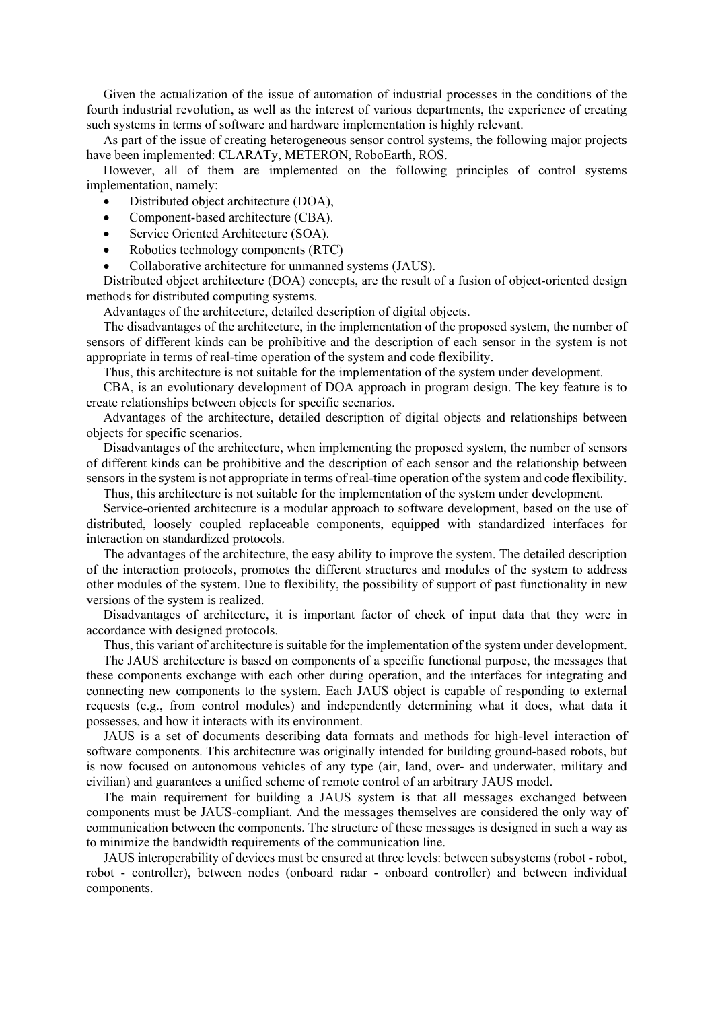Given the actualization of the issue of automation of industrial processes in the conditions of the fourth industrial revolution, as well as the interest of various departments, the experience of creating such systems in terms of software and hardware implementation is highly relevant.

As part of the issue of creating heterogeneous sensor control systems, the following major projects have been implemented: CLARATy, METERON, RoboEarth, ROS.

However, all of them are implemented on the following principles of control systems implementation, namely:

- Distributed object architecture (DOA),
- Component-based architecture (CBA).
- Service Oriented Architecture (SOA).
- Robotics technology components (RTC)
- Collaborative architecture for unmanned systems (JAUS).

Distributed object architecture (DOA) concepts, are the result of a fusion of object-oriented design methods for distributed computing systems.

Advantages of the architecture, detailed description of digital objects.

The disadvantages of the architecture, in the implementation of the proposed system, the number of sensors of different kinds can be prohibitive and the description of each sensor in the system is not appropriate in terms of real-time operation of the system and code flexibility.

Thus, this architecture is not suitable for the implementation of the system under development.

CBA, is an evolutionary development of DOA approach in program design. The key feature is to create relationships between objects for specific scenarios.

Advantages of the architecture, detailed description of digital objects and relationships between objects for specific scenarios.

Disadvantages of the architecture, when implementing the proposed system, the number of sensors of different kinds can be prohibitive and the description of each sensor and the relationship between sensors in the system is not appropriate in terms of real-time operation of the system and code flexibility.

Thus, this architecture is not suitable for the implementation of the system under development.

Service-oriented architecture is a modular approach to software development, based on the use of distributed, loosely coupled replaceable components, equipped with standardized interfaces for interaction on standardized protocols.

The advantages of the architecture, the easy ability to improve the system. The detailed description of the interaction protocols, promotes the different structures and modules of the system to address other modules of the system. Due to flexibility, the possibility of support of past functionality in new versions of the system is realized.

Disadvantages of architecture, it is important factor of check of input data that they were in accordance with designed protocols.

Thus, this variant of architecture is suitable for the implementation of the system under development.

The JAUS architecture is based on components of a specific functional purpose, the messages that these components exchange with each other during operation, and the interfaces for integrating and connecting new components to the system. Each JAUS object is capable of responding to external requests (e.g., from control modules) and independently determining what it does, what data it possesses, and how it interacts with its environment.

JAUS is a set of documents describing data formats and methods for high-level interaction of software components. This architecture was originally intended for building ground-based robots, but is now focused on autonomous vehicles of any type (air, land, over- and underwater, military and civilian) and guarantees a unified scheme of remote control of an arbitrary JAUS model.

The main requirement for building a JAUS system is that all messages exchanged between components must be JAUS-compliant. And the messages themselves are considered the only way of communication between the components. The structure of these messages is designed in such a way as to minimize the bandwidth requirements of the communication line.

JAUS interoperability of devices must be ensured at three levels: between subsystems (robot - robot, robot - controller), between nodes (onboard radar - onboard controller) and between individual components.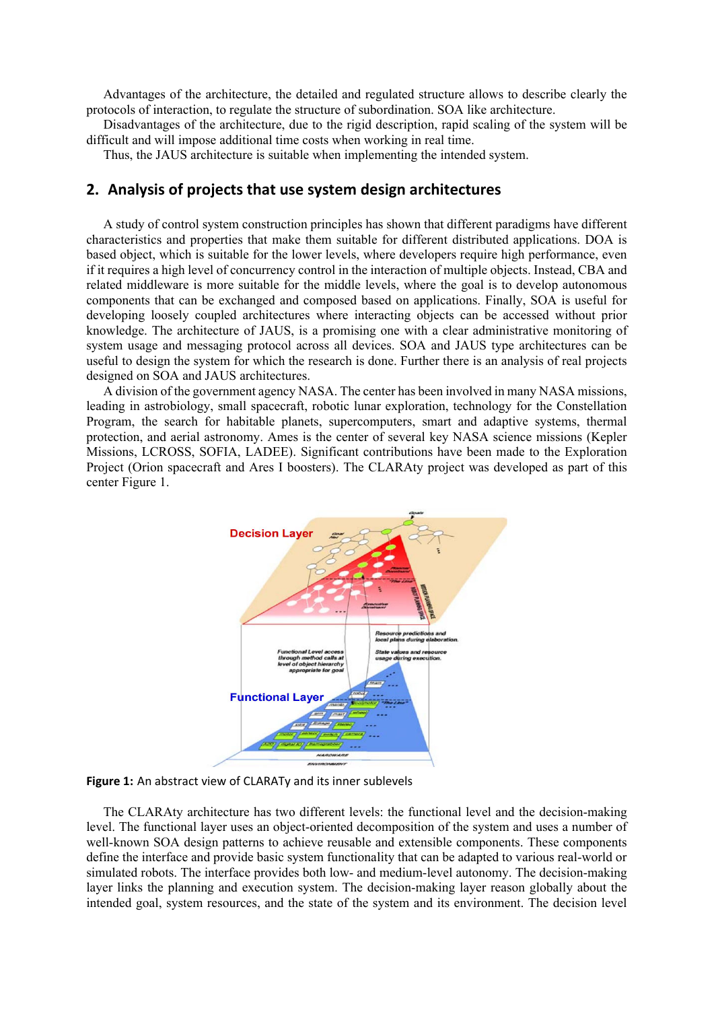Advantages of the architecture, the detailed and regulated structure allows to describe clearly the protocols of interaction, to regulate the structure of subordination. SOA like architecture.

Disadvantages of the architecture, due to the rigid description, rapid scaling of the system will be difficult and will impose additional time costs when working in real time.

Thus, the JAUS architecture is suitable when implementing the intended system.

### **2. Analysis of projects that use system design architectures**

A study of control system construction principles has shown that different paradigms have different characteristics and properties that make them suitable for different distributed applications. DOA is based object, which is suitable for the lower levels, where developers require high performance, even if it requires a high level of concurrency control in the interaction of multiple objects. Instead, CBA and related middleware is more suitable for the middle levels, where the goal is to develop autonomous components that can be exchanged and composed based on applications. Finally, SOA is useful for developing loosely coupled architectures where interacting objects can be accessed without prior knowledge. The architecture of JAUS, is a promising one with a clear administrative monitoring of system usage and messaging protocol across all devices. SOA and JAUS type architectures can be useful to design the system for which the research is done. Further there is an analysis of real projects designed on SOA and JAUS architectures.

A division of the government agency NASA. The center has been involved in many NASA missions, leading in astrobiology, small spacecraft, robotic lunar exploration, technology for the Constellation Program, the search for habitable planets, supercomputers, smart and adaptive systems, thermal protection, and aerial astronomy. Ames is the center of several key NASA science missions (Kepler Missions, LCROSS, SOFIA, LADEE). Significant contributions have been made to the Exploration Project (Orion spacecraft and Ares I boosters). The CLARAty project was developed as part of this center Figure 1.



**Figure 1:** An abstract view of CLARATy and its inner sublevels

The CLARAty architecture has two different levels: the functional level and the decision-making level. The functional layer uses an object-oriented decomposition of the system and uses a number of well-known SOA design patterns to achieve reusable and extensible components. These components define the interface and provide basic system functionality that can be adapted to various real-world or simulated robots. The interface provides both low- and medium-level autonomy. The decision-making layer links the planning and execution system. The decision-making layer reason globally about the intended goal, system resources, and the state of the system and its environment. The decision level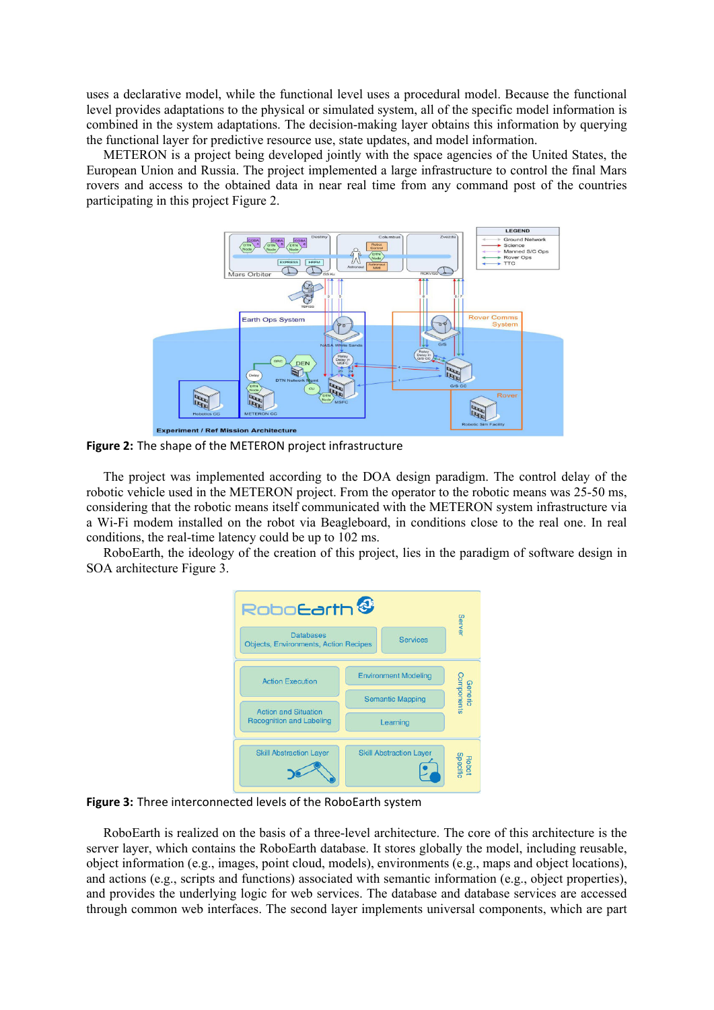uses a declarative model, while the functional level uses a procedural model. Because the functional level provides adaptations to the physical or simulated system, all of the specific model information is combined in the system adaptations. The decision-making layer obtains this information by querying the functional layer for predictive resource use, state updates, and model information.

METERON is a project being developed jointly with the space agencies of the United States, the European Union and Russia. The project implemented a large infrastructure to control the final Mars rovers and access to the obtained data in near real time from any command post of the countries participating in this project Figure 2.



**Figure 2:** The shape of the METERON project infrastructure

The project was implemented according to the DOA design paradigm. The control delay of the robotic vehicle used in the METERON project. From the operator to the robotic means was 25-50 ms, considering that the robotic means itself communicated with the METERON system infrastructure via a Wi-Fi modem installed on the robot via Beagleboard, in conditions close to the real one. In real conditions, the real-time latency could be up to 102 ms.

RoboEarth, the ideology of the creation of this project, lies in the paradigm of software design in SOA architecture Figure 3.

| Robo <b>Earth<sup>&amp;</sup></b>                                                   |                                |  | Server                       |
|-------------------------------------------------------------------------------------|--------------------------------|--|------------------------------|
| <b>Databases</b><br><b>Services</b><br><b>Objects, Environments, Action Recipes</b> |                                |  |                              |
| <b>Action Execution</b>                                                             | <b>Environment Modeling</b>    |  | <b>Generic</b><br>Components |
| <b>Action and Situation</b><br><b>Recognition and Labeling</b>                      | <b>Semantic Mapping</b>        |  |                              |
|                                                                                     | Learning                       |  |                              |
| <b>Skill Abstraction Layer</b>                                                      | <b>Skill Abstraction Layer</b> |  | <b>Robot</b><br>Specific     |

**Figure 3:** Three interconnected levels of the RoboEarth system

RoboEarth is realized on the basis of a three-level architecture. The core of this architecture is the server layer, which contains the RoboEarth database. It stores globally the model, including reusable, object information (e.g., images, point cloud, models), environments (e.g., maps and object locations), and actions (e.g., scripts and functions) associated with semantic information (e.g., object properties), and provides the underlying logic for web services. The database and database services are accessed through common web interfaces. The second layer implements universal components, which are part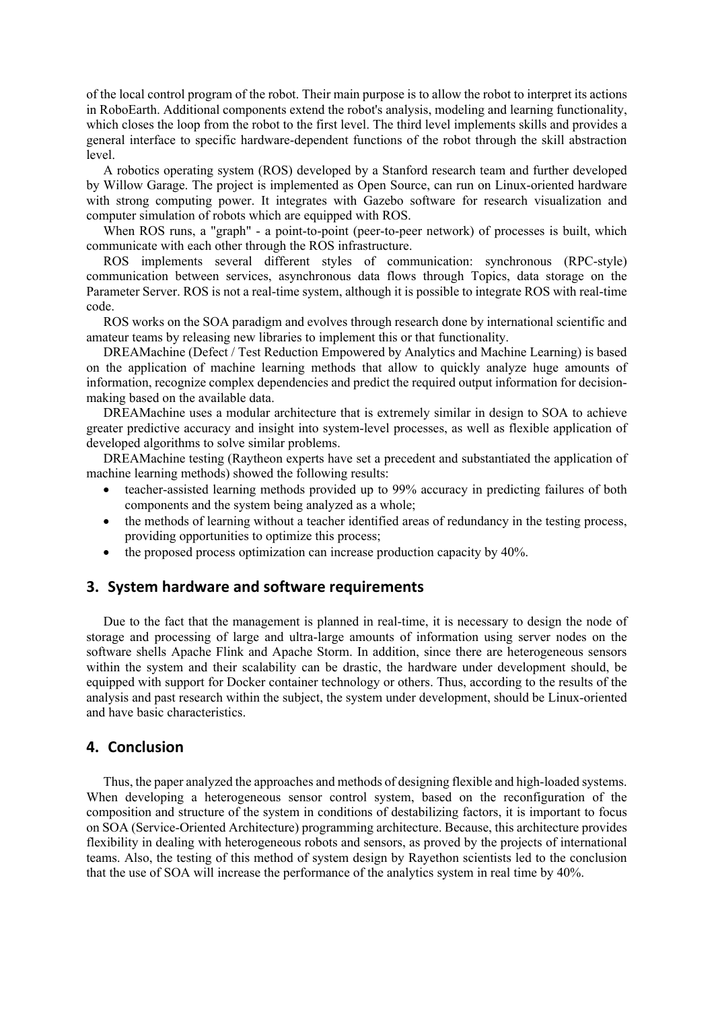of the local control program of the robot. Their main purpose is to allow the robot to interpret its actions in RoboEarth. Additional components extend the robot's analysis, modeling and learning functionality, which closes the loop from the robot to the first level. The third level implements skills and provides a general interface to specific hardware-dependent functions of the robot through the skill abstraction level.

A robotics operating system (ROS) developed by a Stanford research team and further developed by Willow Garage. The project is implemented as Open Source, can run on Linux-oriented hardware with strong computing power. It integrates with Gazebo software for research visualization and computer simulation of robots which are equipped with ROS.

When ROS runs, a "graph" - a point-to-point (peer-to-peer network) of processes is built, which communicate with each other through the ROS infrastructure.

ROS implements several different styles of communication: synchronous (RPC-style) communication between services, asynchronous data flows through Topics, data storage on the Parameter Server. ROS is not a real-time system, although it is possible to integrate ROS with real-time code.

ROS works on the SOA paradigm and evolves through research done by international scientific and amateur teams by releasing new libraries to implement this or that functionality.

DREAMachine (Defect / Test Reduction Empowered by Analytics and Machine Learning) is based on the application of machine learning methods that allow to quickly analyze huge amounts of information, recognize complex dependencies and predict the required output information for decisionmaking based on the available data.

DREAMachine uses a modular architecture that is extremely similar in design to SOA to achieve greater predictive accuracy and insight into system-level processes, as well as flexible application of developed algorithms to solve similar problems.

DREAMachine testing (Raytheon experts have set a precedent and substantiated the application of machine learning methods) showed the following results:

- teacher-assisted learning methods provided up to 99% accuracy in predicting failures of both components and the system being analyzed as a whole;
- the methods of learning without a teacher identified areas of redundancy in the testing process, providing opportunities to optimize this process;
- the proposed process optimization can increase production capacity by 40%.

## **3. System hardware and software requirements**

Due to the fact that the management is planned in real-time, it is necessary to design the node of storage and processing of large and ultra-large amounts of information using server nodes on the software shells Apache Flink and Apache Storm. In addition, since there are heterogeneous sensors within the system and their scalability can be drastic, the hardware under development should, be equipped with support for Docker container technology or others. Thus, according to the results of the analysis and past research within the subject, the system under development, should be Linux-oriented and have basic characteristics.

# **4. Conclusion**

Thus, the paper analyzed the approaches and methods of designing flexible and high-loaded systems. When developing a heterogeneous sensor control system, based on the reconfiguration of the composition and structure of the system in conditions of destabilizing factors, it is important to focus on SOA (Service-Oriented Architecture) programming architecture. Because, this architecture provides flexibility in dealing with heterogeneous robots and sensors, as proved by the projects of international teams. Also, the testing of this method of system design by Rayethon scientists led to the conclusion that the use of SOA will increase the performance of the analytics system in real time by 40%.